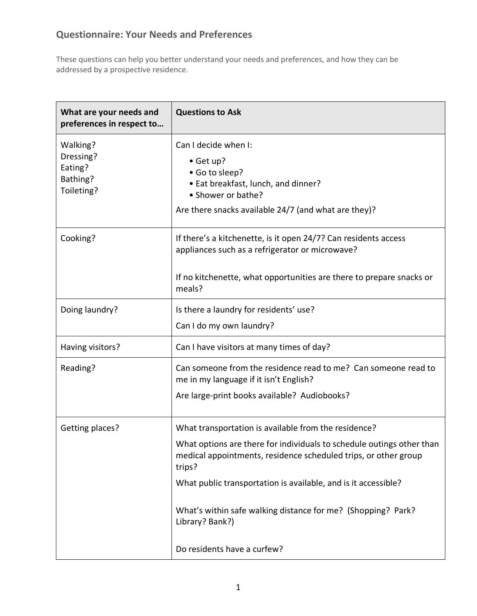## **Questionnaire: Your Needs and Preferences**

These questions can help you better understand your needs and preferences, and how they can be addressed by a prospective residence.

| What are your needs and<br>preferences in respect to       | <b>Questions to Ask</b>                                                                                                                                                                              |
|------------------------------------------------------------|------------------------------------------------------------------------------------------------------------------------------------------------------------------------------------------------------|
| Walking?<br>Dressing?<br>Eating?<br>Bathing?<br>Toileting? | Can I decide when I:<br>• Get up?<br>• Go to sleep?<br>• Eat breakfast, lunch, and dinner?<br>• Shower or bathe?<br>Are there snacks available 24/7 (and what are they)?                             |
| Cooking?                                                   | If there's a kitchenette, is it open 24/7? Can residents access<br>appliances such as a refrigerator or microwave?<br>If no kitchenette, what opportunities are there to prepare snacks or<br>meals? |
| Doing laundry?                                             | Is there a laundry for residents' use?<br>Can I do my own laundry?                                                                                                                                   |
| Having visitors?                                           | Can I have visitors at many times of day?                                                                                                                                                            |
| Reading?                                                   | Can someone from the residence read to me? Can someone read to<br>me in my language if it isn't English?<br>Are large-print books available? Audiobooks?                                             |
| Getting places?                                            | What transportation is available from the residence?                                                                                                                                                 |
|                                                            | What options are there for individuals to schedule outings other than<br>medical appointments, residence scheduled trips, or other group<br>trips?                                                   |
|                                                            | What public transportation is available, and is it accessible?                                                                                                                                       |
|                                                            | What's within safe walking distance for me? (Shopping? Park?<br>Library? Bank?)                                                                                                                      |
|                                                            | Do residents have a curfew?                                                                                                                                                                          |